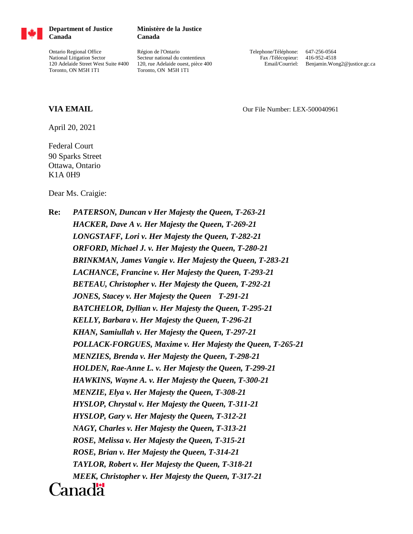

**Department of Justice Canada**

Ontario Regional Office National Litigation Sector 120 Adelaide Street West Suite #400 Toronto, ON M5H 1T1

## **Ministère de la Justice Canada**

Région de l'Ontario Secteur national du contentieux 120, rue Adelaide ouest, pièce 400 Toronto, ON M5H 1T1

Telephone/Téléphone: 647-256-0564 Fax /Télécopieur: 416-952-4518 Email/Courriel: Benjamin.Wong2@justice.gc.ca

## **VIA EMAIL Our File Number: LEX-500040961**

April 20, 2021

Federal Court 90 Sparks Street Ottawa, Ontario K1A 0H9

Dear Ms. Craigie:

**Re:** *PATERSON, Duncan v Her Majesty the Queen, T-263-21 HACKER, Dave A v. Her Majesty the Queen, T-269-21 LONGSTAFF, Lori v. Her Majesty the Queen, T-282-21 ORFORD, Michael J. v. Her Majesty the Queen, T-280-21 BRINKMAN, James Vangie v. Her Majesty the Queen, T-283-21 LACHANCE, Francine v. Her Majesty the Queen, T-293-21 BETEAU, Christopher v. Her Majesty the Queen, T-292-21 JONES, Stacey v. Her Majesty the Queen T-291-21 BATCHELOR, Dyllian v. Her Majesty the Queen, T-295-21 KELLY, Barbara v. Her Majesty the Queen, T-296-21 KHAN, Samiullah v. Her Majesty the Queen, T-297-21 POLLACK-FORGUES, Maxime v. Her Majesty the Queen, T-265-21 MENZIES, Brenda v. Her Majesty the Queen, T-298-21 HOLDEN, Rae-Anne L. v. Her Majesty the Queen, T-299-21 HAWKINS, Wayne A. v. Her Majesty the Queen, T-300-21 MENZIE, Elya v. Her Majesty the Queen, T-308-21 HYSLOP, Chrystal v. Her Majesty the Queen, T-311-21 HYSLOP, Gary v. Her Majesty the Queen, T-312-21 NAGY, Charles v. Her Majesty the Queen, T-313-21 ROSE, Melissa v. Her Majesty the Queen, T-315-21 ROSE, Brian v. Her Majesty the Queen, T-314-21 TAYLOR, Robert v. Her Majesty the Queen, T-318-21 MEEK, Christopher v. Her Majesty the Queen, T-317-21* Canadä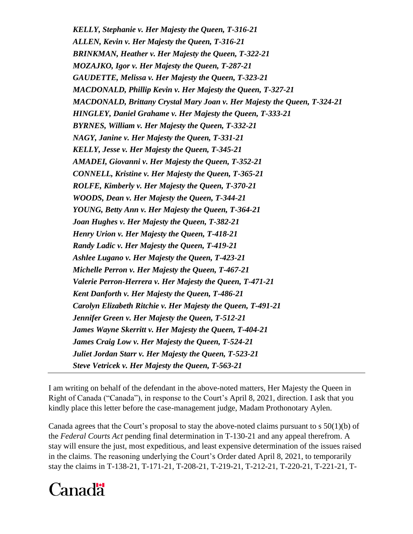*KELLY, Stephanie v. Her Majesty the Queen, T-316-21 ALLEN, Kevin v. Her Majesty the Queen, T-316-21 BRINKMAN, Heather v. Her Majesty the Queen, T-322-21 MOZAJKO, Igor v. Her Majesty the Queen, T-287-21 GAUDETTE, Melissa v. Her Majesty the Queen, T-323-21 MACDONALD, Phillip Kevin v. Her Majesty the Queen, T-327-21 MACDONALD, Brittany Crystal Mary Joan v. Her Majesty the Queen, T-324-21 HINGLEY, Daniel Grahame v. Her Majesty the Queen, T-333-21 BYRNES, William v. Her Majesty the Queen, T-332-21 NAGY, Janine v. Her Majesty the Queen, T-331-21 KELLY, Jesse v. Her Majesty the Queen, T-345-21 AMADEI, Giovanni v. Her Majesty the Queen, T-352-21 CONNELL, Kristine v. Her Majesty the Queen, T-365-21 ROLFE, Kimberly v. Her Majesty the Queen, T-370-21 WOODS, Dean v. Her Majesty the Queen, T-344-21 YOUNG, Betty Ann v. Her Majesty the Queen, T-364-21 Joan Hughes v. Her Majesty the Queen, T-382-21 Henry Urion v. Her Majesty the Queen, T-418-21 Randy Ladic v. Her Majesty the Queen, T-419-21 Ashlee Lugano v. Her Majesty the Queen, T-423-21 Michelle Perron v. Her Majesty the Queen, T-467-21 Valerie Perron-Herrera v. Her Majesty the Queen, T-471-21 Kent Danforth v. Her Majesty the Queen, T-486-21 Carolyn Elizabeth Ritchie v. Her Majesty the Queen, T-491-21 Jennifer Green v. Her Majesty the Queen, T-512-21 James Wayne Skerritt v. Her Majesty the Queen, T-404-21 James Craig Low v. Her Majesty the Queen, T-524-21 Juliet Jordan Starr v. Her Majesty the Queen, T-523-21 Steve Vetricek v. Her Majesty the Queen, T-563-21*

I am writing on behalf of the defendant in the above-noted matters, Her Majesty the Queen in Right of Canada ("Canada"), in response to the Court's April 8, 2021, direction. I ask that you kindly place this letter before the case-management judge, Madam Prothonotary Aylen.

Canada agrees that the Court's proposal to stay the above-noted claims pursuant to s 50(1)(b) of the *Federal Courts Act* pending final determination in T-130-21 and any appeal therefrom. A stay will ensure the just, most expeditious, and least expensive determination of the issues raised in the claims. The reasoning underlying the Court's Order dated April 8, 2021, to temporarily stay the claims in T-138-21, T-171-21, T-208-21, T-219-21, T-212-21, T-220-21, T-221-21, T-

## Canadä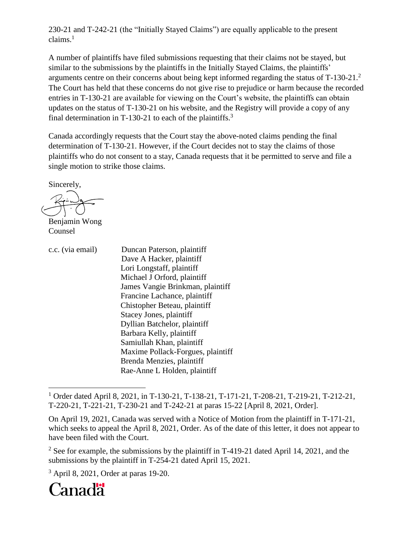230-21 and T-242-21 (the "Initially Stayed Claims") are equally applicable to the present claims. 1

A number of plaintiffs have filed submissions requesting that their claims not be stayed, but similar to the submissions by the plaintiffs in the Initially Stayed Claims, the plaintiffs' arguments centre on their concerns about being kept informed regarding the status of T-130-21.<sup>2</sup> The Court has held that these concerns do not give rise to prejudice or harm because the recorded entries in T-130-21 are available for viewing on the Court's website, the plaintiffs can obtain updates on the status of T-130-21 on his website, and the Registry will provide a copy of any final determination in T-130-21 to each of the plaintiffs.<sup>3</sup>

Canada accordingly requests that the Court stay the above-noted claims pending the final determination of T-130-21. However, if the Court decides not to stay the claims of those plaintiffs who do not consent to a stay, Canada requests that it be permitted to serve and file a single motion to strike those claims.

Sincerely,

Benjamin Wong Counsel

| c.c. (via email) | Duncan Paterson, plaintiff        |
|------------------|-----------------------------------|
|                  | Dave A Hacker, plaintiff          |
|                  | Lori Longstaff, plaintiff         |
|                  | Michael J Orford, plaintiff       |
|                  | James Vangie Brinkman, plaintiff  |
|                  | Francine Lachance, plaintiff      |
|                  | Chistopher Beteau, plaintiff      |
|                  | Stacey Jones, plaintiff           |
|                  | Dyllian Batchelor, plaintiff      |
|                  | Barbara Kelly, plaintiff          |
|                  | Samiullah Khan, plaintiff         |
|                  | Maxime Pollack-Forgues, plaintiff |
|                  | Brenda Menzies, plaintiff         |
|                  | Rae-Anne L Holden, plaintiff      |

<sup>1</sup> Order dated April 8, 2021, in T-130-21, T-138-21, T-171-21, T-208-21, T-219-21, T-212-21, T-220-21, T-221-21, T-230-21 and T-242-21 at paras 15-22 [April 8, 2021, Order].

<sup>3</sup> April 8, 2021, Order at paras 19-20.



 $\overline{a}$ 

On April 19, 2021, Canada was served with a Notice of Motion from the plaintiff in T-171-21, which seeks to appeal the April 8, 2021, Order. As of the date of this letter, it does not appear to have been filed with the Court.

<sup>&</sup>lt;sup>2</sup> See for example, the submissions by the plaintiff in T-419-21 dated April 14, 2021, and the submissions by the plaintiff in T-254-21 dated April 15, 2021.